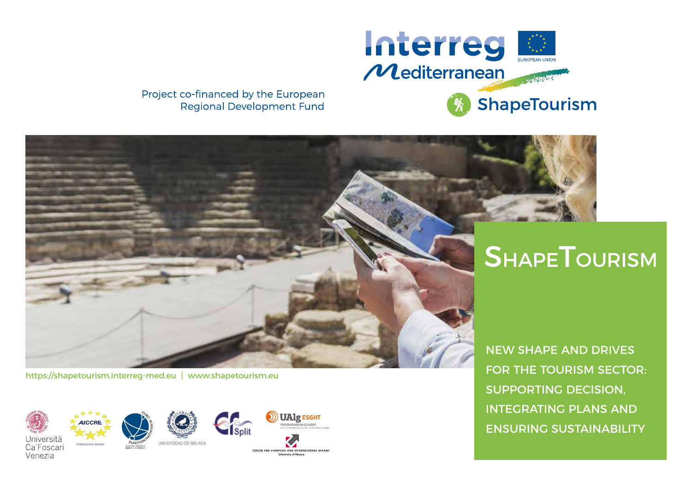

Project co-financed by the European **Regional Development Fund** 

# **SHAPETOURISM**

https://shapetourism.interreg-med.eu | www.shapetourism.eu

Venezia



CENTER FOR FUROPEAN AND INTERNATIONAL AFFAIRS

NEW SHAPE AND DRIVES FOR THE TOURISM SECTOR: SUPPORTING DECISION, INTEGRATING PLANS AND ENSURING SUSTAINABILITY